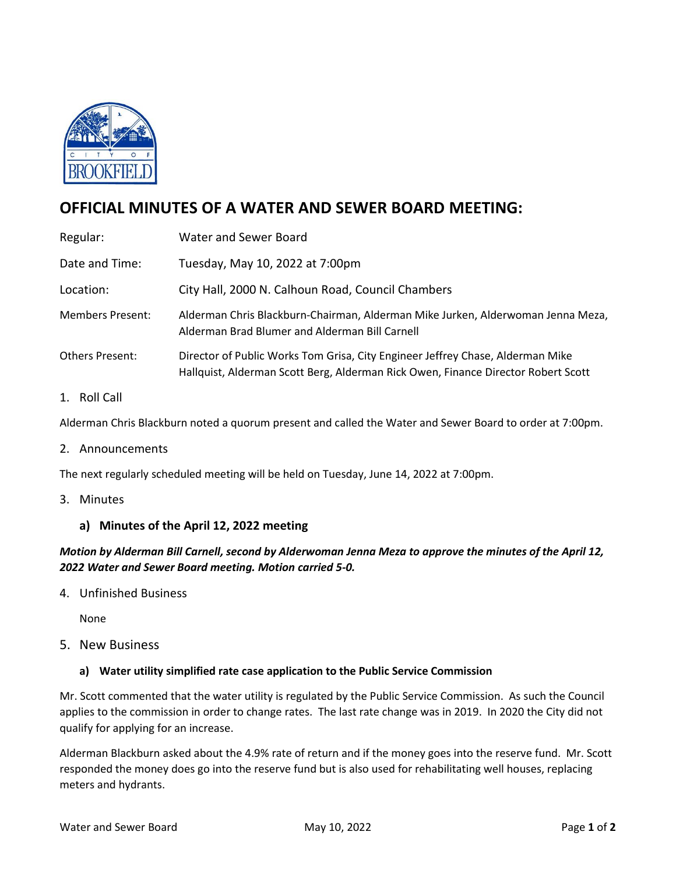

# **OFFICIAL MINUTES OF A WATER AND SEWER BOARD MEETING:**

| Regular:                                 | Water and Sewer Board                                                                                                                                               |
|------------------------------------------|---------------------------------------------------------------------------------------------------------------------------------------------------------------------|
| Date and Time:                           | Tuesday, May 10, 2022 at 7:00pm                                                                                                                                     |
| Location:                                | City Hall, 2000 N. Calhoun Road, Council Chambers                                                                                                                   |
| <b>Members Present:</b>                  | Alderman Chris Blackburn-Chairman, Alderman Mike Jurken, Alderwoman Jenna Meza,<br>Alderman Brad Blumer and Alderman Bill Carnell                                   |
| <b>Others Present:</b>                   | Director of Public Works Tom Grisa, City Engineer Jeffrey Chase, Alderman Mike<br>Hallquist, Alderman Scott Berg, Alderman Rick Owen, Finance Director Robert Scott |
| D <sub>0</sub>    C <sub>2</sub>   <br>1 |                                                                                                                                                                     |

#### 1. Roll Call

Alderman Chris Blackburn noted a quorum present and called the Water and Sewer Board to order at 7:00pm.

#### 2. Announcements

The next regularly scheduled meeting will be held on Tuesday, June 14, 2022 at 7:00pm.

3. Minutes

## **a) Minutes of the April 12, 2022 meeting**

*Motion by Alderman Bill Carnell, second by Alderwoman Jenna Meza to approve the minutes of the April 12, 2022 Water and Sewer Board meeting. Motion carried 5-0.*

4. Unfinished Business

None

5. New Business

#### **a) Water utility simplified rate case application to the Public Service Commission**

Mr. Scott commented that the water utility is regulated by the Public Service Commission. As such the Council applies to the commission in order to change rates. The last rate change was in 2019. In 2020 the City did not qualify for applying for an increase.

Alderman Blackburn asked about the 4.9% rate of return and if the money goes into the reserve fund. Mr. Scott responded the money does go into the reserve fund but is also used for rehabilitating well houses, replacing meters and hydrants.